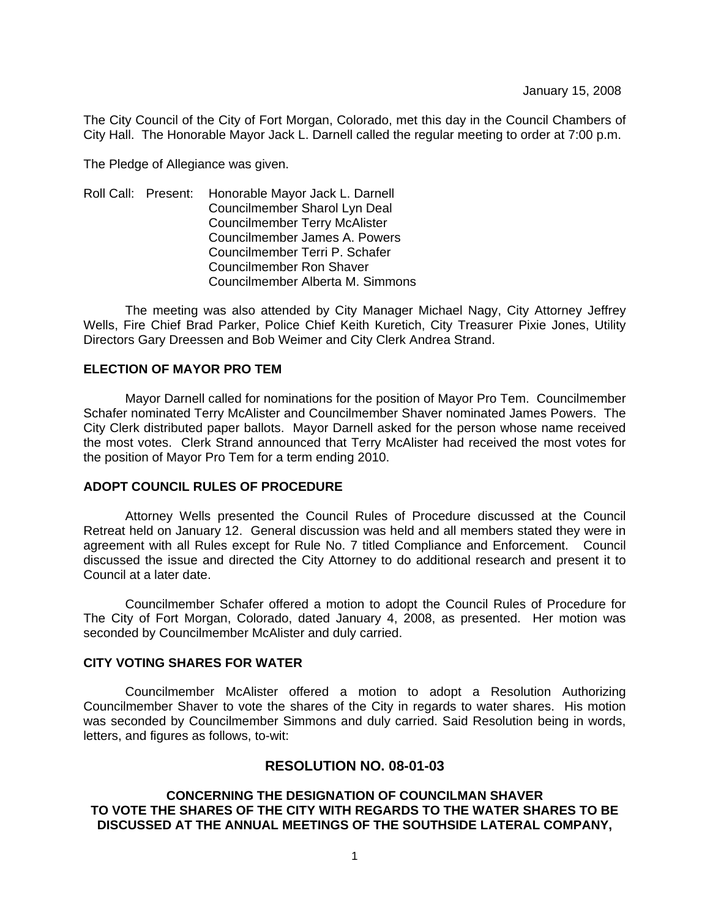The City Council of the City of Fort Morgan, Colorado, met this day in the Council Chambers of City Hall. The Honorable Mayor Jack L. Darnell called the regular meeting to order at 7:00 p.m.

The Pledge of Allegiance was given.

Roll Call: Present: Honorable Mayor Jack L. Darnell Councilmember Sharol Lyn Deal Councilmember Terry McAlister Councilmember James A. Powers Councilmember Terri P. Schafer Councilmember Ron Shaver Councilmember Alberta M. Simmons

 The meeting was also attended by City Manager Michael Nagy, City Attorney Jeffrey Wells, Fire Chief Brad Parker, Police Chief Keith Kuretich, City Treasurer Pixie Jones, Utility Directors Gary Dreessen and Bob Weimer and City Clerk Andrea Strand.

### **ELECTION OF MAYOR PRO TEM**

 Mayor Darnell called for nominations for the position of Mayor Pro Tem. Councilmember Schafer nominated Terry McAlister and Councilmember Shaver nominated James Powers. The City Clerk distributed paper ballots. Mayor Darnell asked for the person whose name received the most votes. Clerk Strand announced that Terry McAlister had received the most votes for the position of Mayor Pro Tem for a term ending 2010.

## **ADOPT COUNCIL RULES OF PROCEDURE**

 Attorney Wells presented the Council Rules of Procedure discussed at the Council Retreat held on January 12. General discussion was held and all members stated they were in agreement with all Rules except for Rule No. 7 titled Compliance and Enforcement. Council discussed the issue and directed the City Attorney to do additional research and present it to Council at a later date.

 Councilmember Schafer offered a motion to adopt the Council Rules of Procedure for The City of Fort Morgan, Colorado, dated January 4, 2008, as presented. Her motion was seconded by Councilmember McAlister and duly carried.

### **CITY VOTING SHARES FOR WATER**

 Councilmember McAlister offered a motion to adopt a Resolution Authorizing Councilmember Shaver to vote the shares of the City in regards to water shares. His motion was seconded by Councilmember Simmons and duly carried. Said Resolution being in words, letters, and figures as follows, to-wit:

# **RESOLUTION NO. 08-01-03**

## **CONCERNING THE DESIGNATION OF COUNCILMAN SHAVER TO VOTE THE SHARES OF THE CITY WITH REGARDS TO THE WATER SHARES TO BE DISCUSSED AT THE ANNUAL MEETINGS OF THE SOUTHSIDE LATERAL COMPANY,**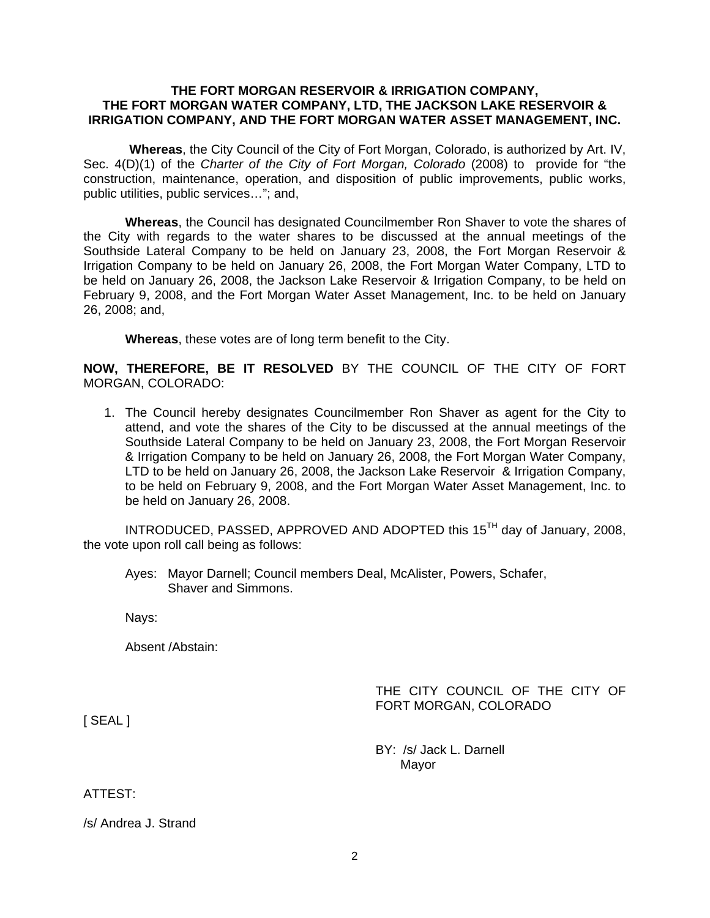### **THE FORT MORGAN RESERVOIR & IRRIGATION COMPANY, THE FORT MORGAN WATER COMPANY, LTD, THE JACKSON LAKE RESERVOIR & IRRIGATION COMPANY, AND THE FORT MORGAN WATER ASSET MANAGEMENT, INC.**

 **Whereas**, the City Council of the City of Fort Morgan, Colorado, is authorized by Art. IV, Sec. 4(D)(1) of the *Charter of the City of Fort Morgan, Colorado* (2008) to provide for "the construction, maintenance, operation, and disposition of public improvements, public works, public utilities, public services…"; and,

**Whereas**, the Council has designated Councilmember Ron Shaver to vote the shares of the City with regards to the water shares to be discussed at the annual meetings of the Southside Lateral Company to be held on January 23, 2008, the Fort Morgan Reservoir & Irrigation Company to be held on January 26, 2008, the Fort Morgan Water Company, LTD to be held on January 26, 2008, the Jackson Lake Reservoir & Irrigation Company, to be held on February 9, 2008, and the Fort Morgan Water Asset Management, Inc. to be held on January 26, 2008; and,

**Whereas**, these votes are of long term benefit to the City.

**NOW, THEREFORE, BE IT RESOLVED** BY THE COUNCIL OF THE CITY OF FORT MORGAN, COLORADO:

1. The Council hereby designates Councilmember Ron Shaver as agent for the City to attend, and vote the shares of the City to be discussed at the annual meetings of the Southside Lateral Company to be held on January 23, 2008, the Fort Morgan Reservoir & Irrigation Company to be held on January 26, 2008, the Fort Morgan Water Company, LTD to be held on January 26, 2008, the Jackson Lake Reservoir & Irrigation Company, to be held on February 9, 2008, and the Fort Morgan Water Asset Management, Inc. to be held on January 26, 2008.

INTRODUCED, PASSED, APPROVED AND ADOPTED this 15TH day of January, 2008, the vote upon roll call being as follows:

Ayes: Mayor Darnell; Council members Deal, McAlister, Powers, Schafer, Shaver and Simmons.

Nays:

Absent /Abstain:

# THE CITY COUNCIL OF THE CITY OF FORT MORGAN, COLORADO

[ SEAL ]

 BY: /s/ Jack L. Darnell Mayor

## ATTEST:

/s/ Andrea J. Strand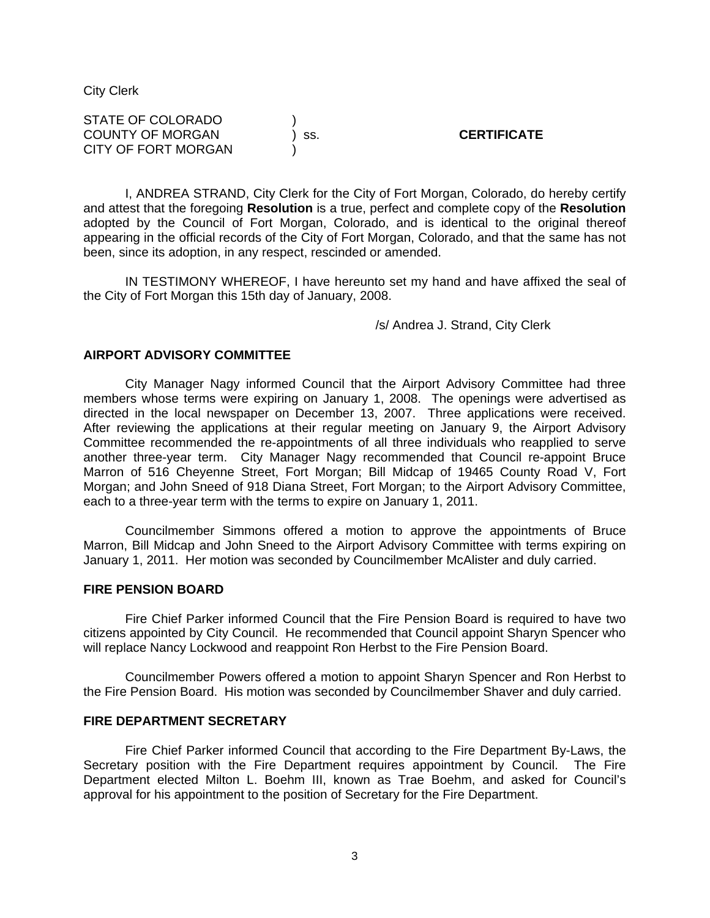City Clerk

| STATE OF COLORADO       |       |                    |
|-------------------------|-------|--------------------|
| <b>COUNTY OF MORGAN</b> | ) SS. | <b>CERTIFICATE</b> |
| CITY OF FORT MORGAN     |       |                    |

I, ANDREA STRAND, City Clerk for the City of Fort Morgan, Colorado, do hereby certify and attest that the foregoing **Resolution** is a true, perfect and complete copy of the **Resolution** adopted by the Council of Fort Morgan, Colorado, and is identical to the original thereof appearing in the official records of the City of Fort Morgan, Colorado, and that the same has not been, since its adoption, in any respect, rescinded or amended.

IN TESTIMONY WHEREOF, I have hereunto set my hand and have affixed the seal of the City of Fort Morgan this 15th day of January, 2008.

/s/ Andrea J. Strand, City Clerk

#### **AIRPORT ADVISORY COMMITTEE**

 City Manager Nagy informed Council that the Airport Advisory Committee had three members whose terms were expiring on January 1, 2008. The openings were advertised as directed in the local newspaper on December 13, 2007. Three applications were received. After reviewing the applications at their regular meeting on January 9, the Airport Advisory Committee recommended the re-appointments of all three individuals who reapplied to serve another three-year term. City Manager Nagy recommended that Council re-appoint Bruce Marron of 516 Cheyenne Street, Fort Morgan; Bill Midcap of 19465 County Road V, Fort Morgan; and John Sneed of 918 Diana Street, Fort Morgan; to the Airport Advisory Committee, each to a three-year term with the terms to expire on January 1, 2011.

 Councilmember Simmons offered a motion to approve the appointments of Bruce Marron, Bill Midcap and John Sneed to the Airport Advisory Committee with terms expiring on January 1, 2011. Her motion was seconded by Councilmember McAlister and duly carried.

#### **FIRE PENSION BOARD**

 Fire Chief Parker informed Council that the Fire Pension Board is required to have two citizens appointed by City Council. He recommended that Council appoint Sharyn Spencer who will replace Nancy Lockwood and reappoint Ron Herbst to the Fire Pension Board.

 Councilmember Powers offered a motion to appoint Sharyn Spencer and Ron Herbst to the Fire Pension Board. His motion was seconded by Councilmember Shaver and duly carried.

## **FIRE DEPARTMENT SECRETARY**

 Fire Chief Parker informed Council that according to the Fire Department By-Laws, the Secretary position with the Fire Department requires appointment by Council. The Fire Department elected Milton L. Boehm III, known as Trae Boehm, and asked for Council's approval for his appointment to the position of Secretary for the Fire Department.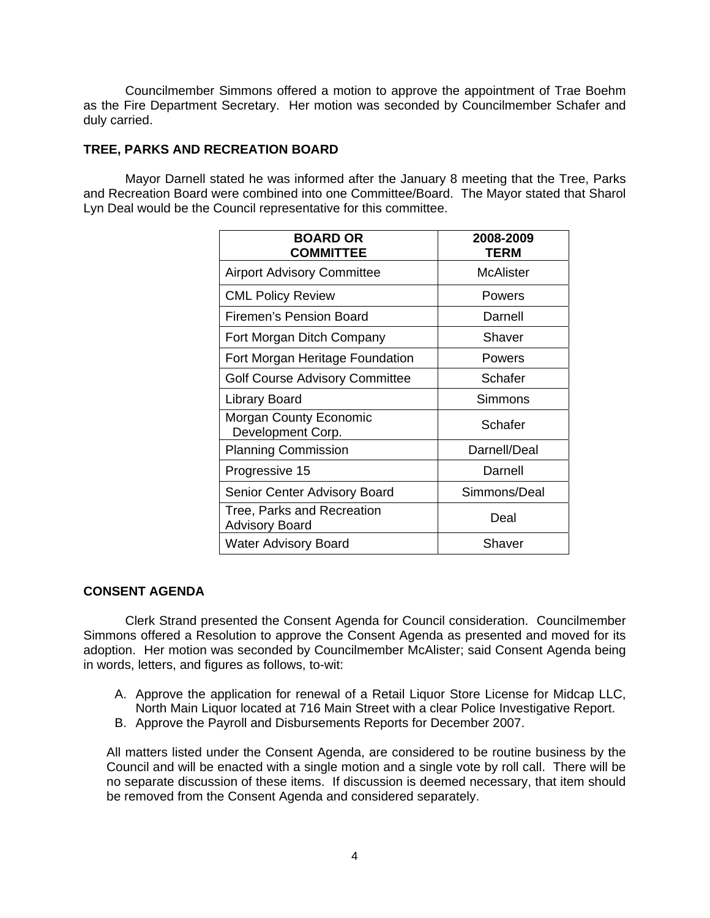Councilmember Simmons offered a motion to approve the appointment of Trae Boehm as the Fire Department Secretary. Her motion was seconded by Councilmember Schafer and duly carried.

# **TREE, PARKS AND RECREATION BOARD**

 Mayor Darnell stated he was informed after the January 8 meeting that the Tree, Parks and Recreation Board were combined into one Committee/Board. The Mayor stated that Sharol Lyn Deal would be the Council representative for this committee.

| <b>BOARD OR</b><br><b>COMMITTEE</b>                 | 2008-2009<br><b>TERM</b> |
|-----------------------------------------------------|--------------------------|
| <b>Airport Advisory Committee</b>                   | <b>McAlister</b>         |
| <b>CML Policy Review</b>                            | Powers                   |
| Firemen's Pension Board                             | Darnell                  |
| Fort Morgan Ditch Company                           | Shaver                   |
| Fort Morgan Heritage Foundation                     | Powers                   |
| <b>Golf Course Advisory Committee</b>               | Schafer                  |
| <b>Library Board</b>                                | Simmons                  |
| <b>Morgan County Economic</b><br>Development Corp.  | Schafer                  |
| <b>Planning Commission</b>                          | Darnell/Deal             |
| Progressive 15                                      | Darnell                  |
| <b>Senior Center Advisory Board</b>                 | Simmons/Deal             |
| Tree, Parks and Recreation<br><b>Advisory Board</b> | Deal                     |
| <b>Water Advisory Board</b>                         | Shaver                   |

### **CONSENT AGENDA**

 Clerk Strand presented the Consent Agenda for Council consideration. Councilmember Simmons offered a Resolution to approve the Consent Agenda as presented and moved for its adoption. Her motion was seconded by Councilmember McAlister; said Consent Agenda being in words, letters, and figures as follows, to-wit:

- A. Approve the application for renewal of a Retail Liquor Store License for Midcap LLC, North Main Liquor located at 716 Main Street with a clear Police Investigative Report.
- B. Approve the Payroll and Disbursements Reports for December 2007.

All matters listed under the Consent Agenda, are considered to be routine business by the Council and will be enacted with a single motion and a single vote by roll call. There will be no separate discussion of these items. If discussion is deemed necessary, that item should be removed from the Consent Agenda and considered separately.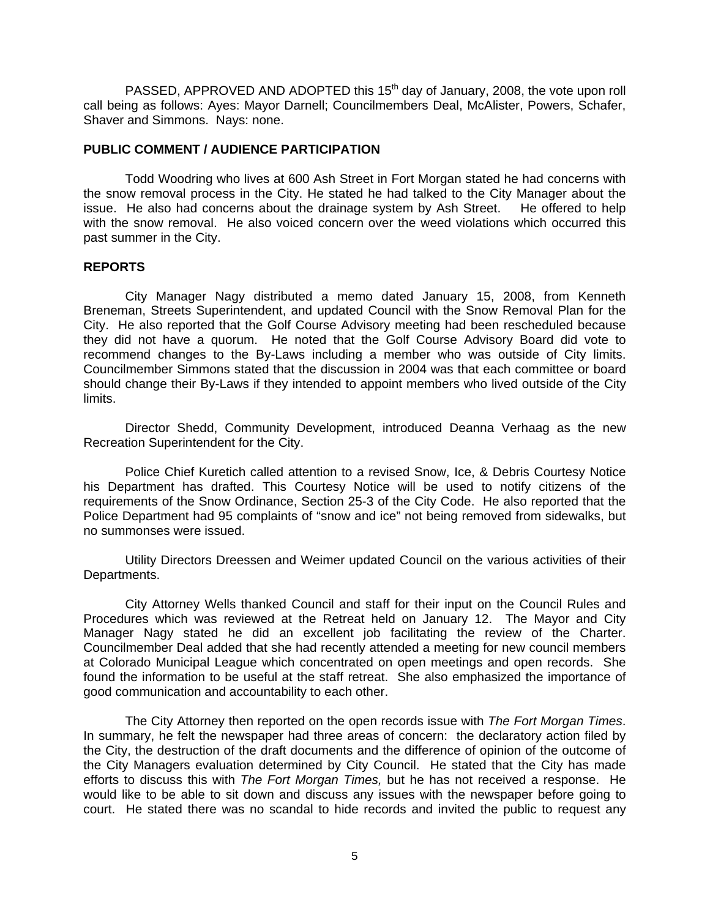PASSED, APPROVED AND ADOPTED this 15<sup>th</sup> day of January, 2008, the vote upon roll call being as follows: Ayes: Mayor Darnell; Councilmembers Deal, McAlister, Powers, Schafer, Shaver and Simmons. Nays: none.

# **PUBLIC COMMENT / AUDIENCE PARTICIPATION**

 Todd Woodring who lives at 600 Ash Street in Fort Morgan stated he had concerns with the snow removal process in the City. He stated he had talked to the City Manager about the issue. He also had concerns about the drainage system by Ash Street. He offered to help with the snow removal. He also voiced concern over the weed violations which occurred this past summer in the City.

### **REPORTS**

 City Manager Nagy distributed a memo dated January 15, 2008, from Kenneth Breneman, Streets Superintendent, and updated Council with the Snow Removal Plan for the City. He also reported that the Golf Course Advisory meeting had been rescheduled because they did not have a quorum. He noted that the Golf Course Advisory Board did vote to recommend changes to the By-Laws including a member who was outside of City limits. Councilmember Simmons stated that the discussion in 2004 was that each committee or board should change their By-Laws if they intended to appoint members who lived outside of the City limits.

 Director Shedd, Community Development, introduced Deanna Verhaag as the new Recreation Superintendent for the City.

 Police Chief Kuretich called attention to a revised Snow, Ice, & Debris Courtesy Notice his Department has drafted. This Courtesy Notice will be used to notify citizens of the requirements of the Snow Ordinance, Section 25-3 of the City Code. He also reported that the Police Department had 95 complaints of "snow and ice" not being removed from sidewalks, but no summonses were issued.

 Utility Directors Dreessen and Weimer updated Council on the various activities of their Departments.

City Attorney Wells thanked Council and staff for their input on the Council Rules and Procedures which was reviewed at the Retreat held on January 12. The Mayor and City Manager Nagy stated he did an excellent job facilitating the review of the Charter. Councilmember Deal added that she had recently attended a meeting for new council members at Colorado Municipal League which concentrated on open meetings and open records. She found the information to be useful at the staff retreat. She also emphasized the importance of good communication and accountability to each other.

 The City Attorney then reported on the open records issue with *The Fort Morgan Times*. In summary, he felt the newspaper had three areas of concern: the declaratory action filed by the City, the destruction of the draft documents and the difference of opinion of the outcome of the City Managers evaluation determined by City Council. He stated that the City has made efforts to discuss this with *The Fort Morgan Times,* but he has not received a response. He would like to be able to sit down and discuss any issues with the newspaper before going to court. He stated there was no scandal to hide records and invited the public to request any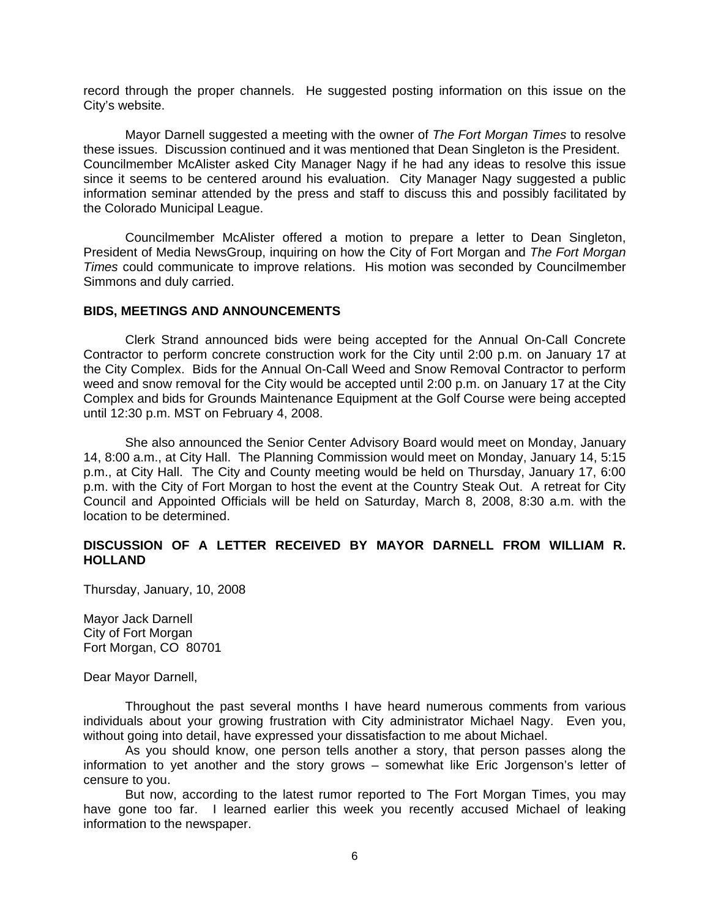record through the proper channels. He suggested posting information on this issue on the City's website.

Mayor Darnell suggested a meeting with the owner of *The Fort Morgan Times* to resolve these issues. Discussion continued and it was mentioned that Dean Singleton is the President. Councilmember McAlister asked City Manager Nagy if he had any ideas to resolve this issue since it seems to be centered around his evaluation. City Manager Nagy suggested a public information seminar attended by the press and staff to discuss this and possibly facilitated by the Colorado Municipal League.

 Councilmember McAlister offered a motion to prepare a letter to Dean Singleton, President of Media NewsGroup, inquiring on how the City of Fort Morgan and *The Fort Morgan Times* could communicate to improve relations. His motion was seconded by Councilmember Simmons and duly carried.

#### **BIDS, MEETINGS AND ANNOUNCEMENTS**

 Clerk Strand announced bids were being accepted for the Annual On-Call Concrete Contractor to perform concrete construction work for the City until 2:00 p.m. on January 17 at the City Complex. Bids for the Annual On-Call Weed and Snow Removal Contractor to perform weed and snow removal for the City would be accepted until 2:00 p.m. on January 17 at the City Complex and bids for Grounds Maintenance Equipment at the Golf Course were being accepted until 12:30 p.m. MST on February 4, 2008.

 She also announced the Senior Center Advisory Board would meet on Monday, January 14, 8:00 a.m., at City Hall. The Planning Commission would meet on Monday, January 14, 5:15 p.m., at City Hall. The City and County meeting would be held on Thursday, January 17, 6:00 p.m. with the City of Fort Morgan to host the event at the Country Steak Out. A retreat for City Council and Appointed Officials will be held on Saturday, March 8, 2008, 8:30 a.m. with the location to be determined.

## **DISCUSSION OF A LETTER RECEIVED BY MAYOR DARNELL FROM WILLIAM R. HOLLAND**

Thursday, January, 10, 2008

Mayor Jack Darnell City of Fort Morgan Fort Morgan, CO 80701

Dear Mayor Darnell,

 Throughout the past several months I have heard numerous comments from various individuals about your growing frustration with City administrator Michael Nagy. Even you, without going into detail, have expressed your dissatisfaction to me about Michael.

 As you should know, one person tells another a story, that person passes along the information to yet another and the story grows – somewhat like Eric Jorgenson's letter of censure to you.

 But now, according to the latest rumor reported to The Fort Morgan Times, you may have gone too far. I learned earlier this week you recently accused Michael of leaking information to the newspaper.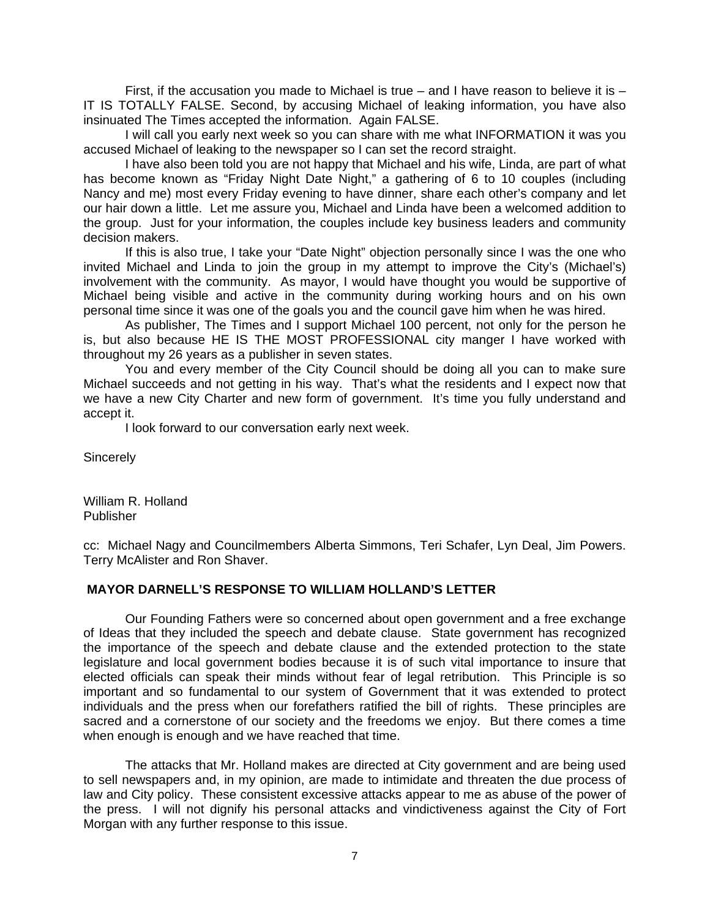First, if the accusation you made to Michael is true  $-$  and I have reason to believe it is  $-$ IT IS TOTALLY FALSE. Second, by accusing Michael of leaking information, you have also insinuated The Times accepted the information. Again FALSE.

 I will call you early next week so you can share with me what INFORMATION it was you accused Michael of leaking to the newspaper so I can set the record straight.

 I have also been told you are not happy that Michael and his wife, Linda, are part of what has become known as "Friday Night Date Night," a gathering of 6 to 10 couples (including Nancy and me) most every Friday evening to have dinner, share each other's company and let our hair down a little. Let me assure you, Michael and Linda have been a welcomed addition to the group. Just for your information, the couples include key business leaders and community decision makers.

 If this is also true, I take your "Date Night" objection personally since I was the one who invited Michael and Linda to join the group in my attempt to improve the City's (Michael's) involvement with the community. As mayor, I would have thought you would be supportive of Michael being visible and active in the community during working hours and on his own personal time since it was one of the goals you and the council gave him when he was hired.

 As publisher, The Times and I support Michael 100 percent, not only for the person he is, but also because HE IS THE MOST PROFESSIONAL city manger I have worked with throughout my 26 years as a publisher in seven states.

 You and every member of the City Council should be doing all you can to make sure Michael succeeds and not getting in his way. That's what the residents and I expect now that we have a new City Charter and new form of government. It's time you fully understand and accept it.

I look forward to our conversation early next week.

**Sincerely** 

William R. Holland Publisher

cc: Michael Nagy and Councilmembers Alberta Simmons, Teri Schafer, Lyn Deal, Jim Powers. Terry McAlister and Ron Shaver.

# **MAYOR DARNELL'S RESPONSE TO WILLIAM HOLLAND'S LETTER**

Our Founding Fathers were so concerned about open government and a free exchange of Ideas that they included the speech and debate clause. State government has recognized the importance of the speech and debate clause and the extended protection to the state legislature and local government bodies because it is of such vital importance to insure that elected officials can speak their minds without fear of legal retribution. This Principle is so important and so fundamental to our system of Government that it was extended to protect individuals and the press when our forefathers ratified the bill of rights. These principles are sacred and a cornerstone of our society and the freedoms we enjoy. But there comes a time when enough is enough and we have reached that time.

 The attacks that Mr. Holland makes are directed at City government and are being used to sell newspapers and, in my opinion, are made to intimidate and threaten the due process of law and City policy. These consistent excessive attacks appear to me as abuse of the power of the press. I will not dignify his personal attacks and vindictiveness against the City of Fort Morgan with any further response to this issue.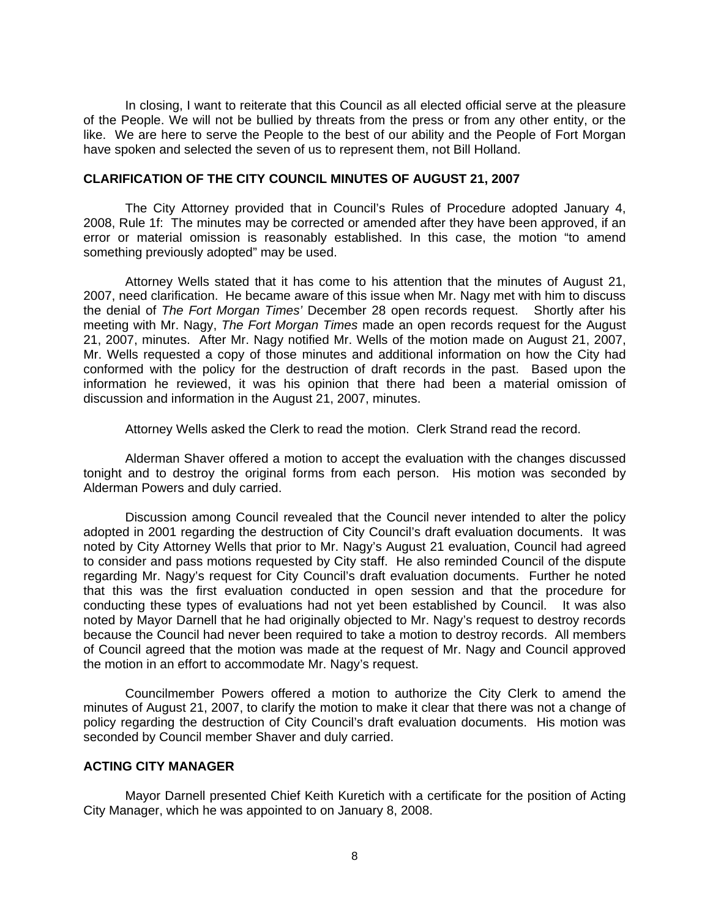In closing, I want to reiterate that this Council as all elected official serve at the pleasure of the People. We will not be bullied by threats from the press or from any other entity, or the like. We are here to serve the People to the best of our ability and the People of Fort Morgan have spoken and selected the seven of us to represent them, not Bill Holland.

#### **CLARIFICATION OF THE CITY COUNCIL MINUTES OF AUGUST 21, 2007**

The City Attorney provided that in Council's Rules of Procedure adopted January 4, 2008, Rule 1f: The minutes may be corrected or amended after they have been approved, if an error or material omission is reasonably established. In this case, the motion "to amend something previously adopted" may be used.

 Attorney Wells stated that it has come to his attention that the minutes of August 21, 2007, need clarification. He became aware of this issue when Mr. Nagy met with him to discuss the denial of *The Fort Morgan Times'* December 28 open records request. Shortly after his meeting with Mr. Nagy, *The Fort Morgan Times* made an open records request for the August 21, 2007, minutes. After Mr. Nagy notified Mr. Wells of the motion made on August 21, 2007, Mr. Wells requested a copy of those minutes and additional information on how the City had conformed with the policy for the destruction of draft records in the past. Based upon the information he reviewed, it was his opinion that there had been a material omission of discussion and information in the August 21, 2007, minutes.

Attorney Wells asked the Clerk to read the motion. Clerk Strand read the record.

 Alderman Shaver offered a motion to accept the evaluation with the changes discussed tonight and to destroy the original forms from each person. His motion was seconded by Alderman Powers and duly carried.

 Discussion among Council revealed that the Council never intended to alter the policy adopted in 2001 regarding the destruction of City Council's draft evaluation documents. It was noted by City Attorney Wells that prior to Mr. Nagy's August 21 evaluation, Council had agreed to consider and pass motions requested by City staff. He also reminded Council of the dispute regarding Mr. Nagy's request for City Council's draft evaluation documents. Further he noted that this was the first evaluation conducted in open session and that the procedure for conducting these types of evaluations had not yet been established by Council. It was also noted by Mayor Darnell that he had originally objected to Mr. Nagy's request to destroy records because the Council had never been required to take a motion to destroy records. All members of Council agreed that the motion was made at the request of Mr. Nagy and Council approved the motion in an effort to accommodate Mr. Nagy's request.

Councilmember Powers offered a motion to authorize the City Clerk to amend the minutes of August 21, 2007, to clarify the motion to make it clear that there was not a change of policy regarding the destruction of City Council's draft evaluation documents. His motion was seconded by Council member Shaver and duly carried.

### **ACTING CITY MANAGER**

 Mayor Darnell presented Chief Keith Kuretich with a certificate for the position of Acting City Manager, which he was appointed to on January 8, 2008.